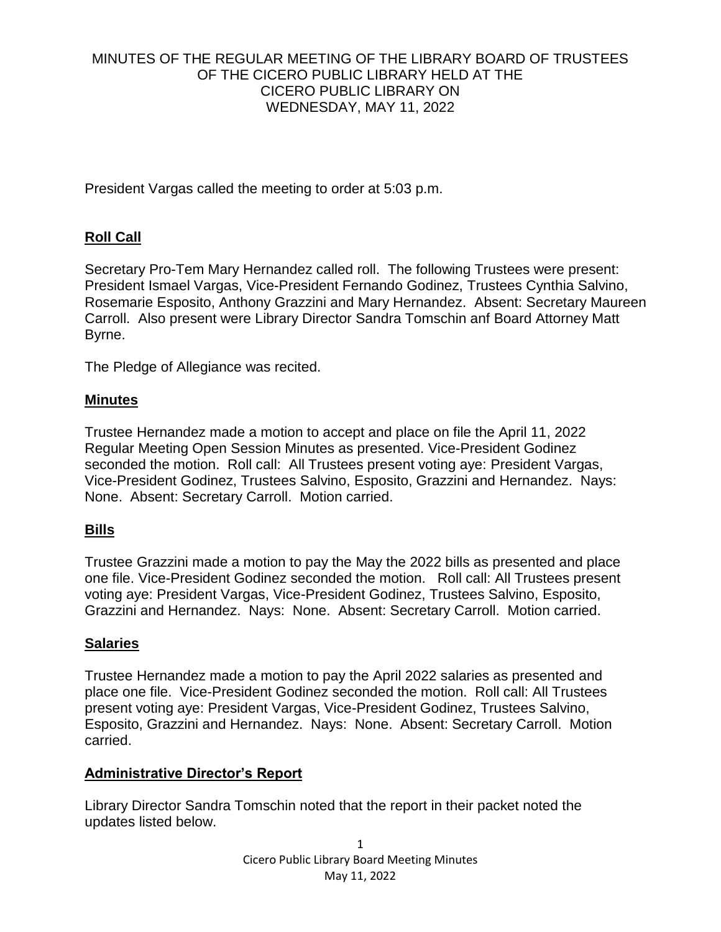## MINUTES OF THE REGULAR MEETING OF THE LIBRARY BOARD OF TRUSTEES OF THE CICERO PUBLIC LIBRARY HELD AT THE CICERO PUBLIC LIBRARY ON WEDNESDAY, MAY 11, 2022

President Vargas called the meeting to order at 5:03 p.m.

# **Roll Call**

Secretary Pro-Tem Mary Hernandez called roll. The following Trustees were present: President Ismael Vargas, Vice-President Fernando Godinez, Trustees Cynthia Salvino, Rosemarie Esposito, Anthony Grazzini and Mary Hernandez. Absent: Secretary Maureen Carroll. Also present were Library Director Sandra Tomschin anf Board Attorney Matt Byrne.

The Pledge of Allegiance was recited.

## **Minutes**

Trustee Hernandez made a motion to accept and place on file the April 11, 2022 Regular Meeting Open Session Minutes as presented. Vice-President Godinez seconded the motion. Roll call: All Trustees present voting aye: President Vargas, Vice-President Godinez, Trustees Salvino, Esposito, Grazzini and Hernandez. Nays: None. Absent: Secretary Carroll. Motion carried.

## **Bills**

Trustee Grazzini made a motion to pay the May the 2022 bills as presented and place one file. Vice-President Godinez seconded the motion. Roll call: All Trustees present voting aye: President Vargas, Vice-President Godinez, Trustees Salvino, Esposito, Grazzini and Hernandez. Nays: None. Absent: Secretary Carroll. Motion carried.

## **Salaries**

Trustee Hernandez made a motion to pay the April 2022 salaries as presented and place one file. Vice-President Godinez seconded the motion. Roll call: All Trustees present voting aye: President Vargas, Vice-President Godinez, Trustees Salvino, Esposito, Grazzini and Hernandez. Nays: None. Absent: Secretary Carroll. Motion carried.

## **Administrative Director's Report**

Library Director Sandra Tomschin noted that the report in their packet noted the updates listed below.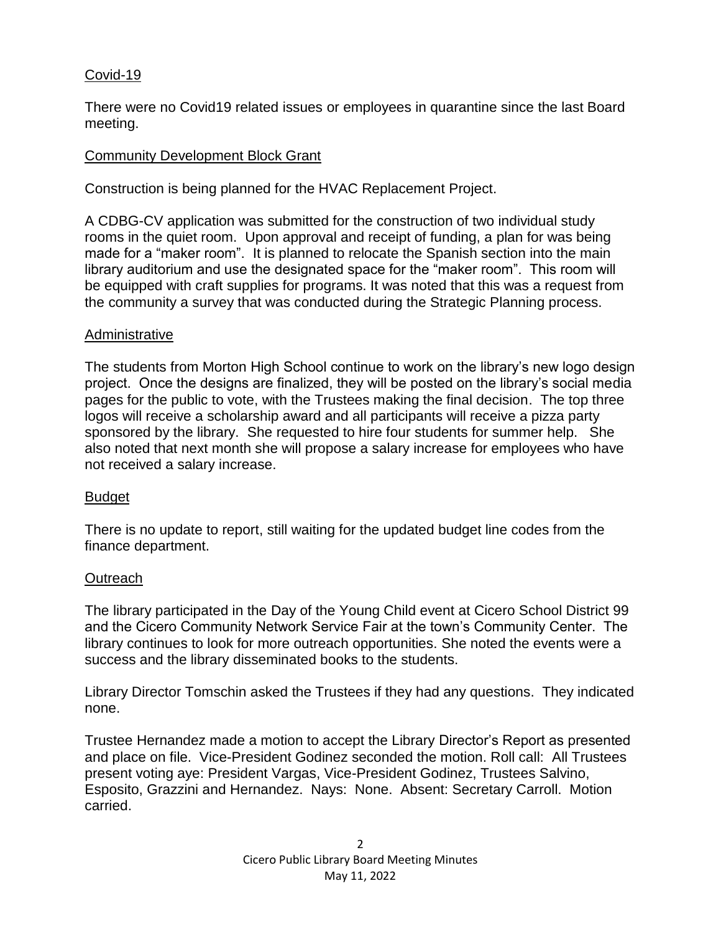## Covid-19

There were no Covid19 related issues or employees in quarantine since the last Board meeting.

#### Community Development Block Grant

Construction is being planned for the HVAC Replacement Project.

A CDBG-CV application was submitted for the construction of two individual study rooms in the quiet room. Upon approval and receipt of funding, a plan for was being made for a "maker room". It is planned to relocate the Spanish section into the main library auditorium and use the designated space for the "maker room". This room will be equipped with craft supplies for programs. It was noted that this was a request from the community a survey that was conducted during the Strategic Planning process.

#### Administrative

The students from Morton High School continue to work on the library's new logo design project. Once the designs are finalized, they will be posted on the library's social media pages for the public to vote, with the Trustees making the final decision. The top three logos will receive a scholarship award and all participants will receive a pizza party sponsored by the library. She requested to hire four students for summer help. She also noted that next month she will propose a salary increase for employees who have not received a salary increase.

## Budget

There is no update to report, still waiting for the updated budget line codes from the finance department.

## **Outreach**

The library participated in the Day of the Young Child event at Cicero School District 99 and the Cicero Community Network Service Fair at the town's Community Center. The library continues to look for more outreach opportunities. She noted the events were a success and the library disseminated books to the students.

Library Director Tomschin asked the Trustees if they had any questions. They indicated none.

Trustee Hernandez made a motion to accept the Library Director's Report as presented and place on file. Vice-President Godinez seconded the motion. Roll call: All Trustees present voting aye: President Vargas, Vice-President Godinez, Trustees Salvino, Esposito, Grazzini and Hernandez. Nays: None. Absent: Secretary Carroll. Motion carried.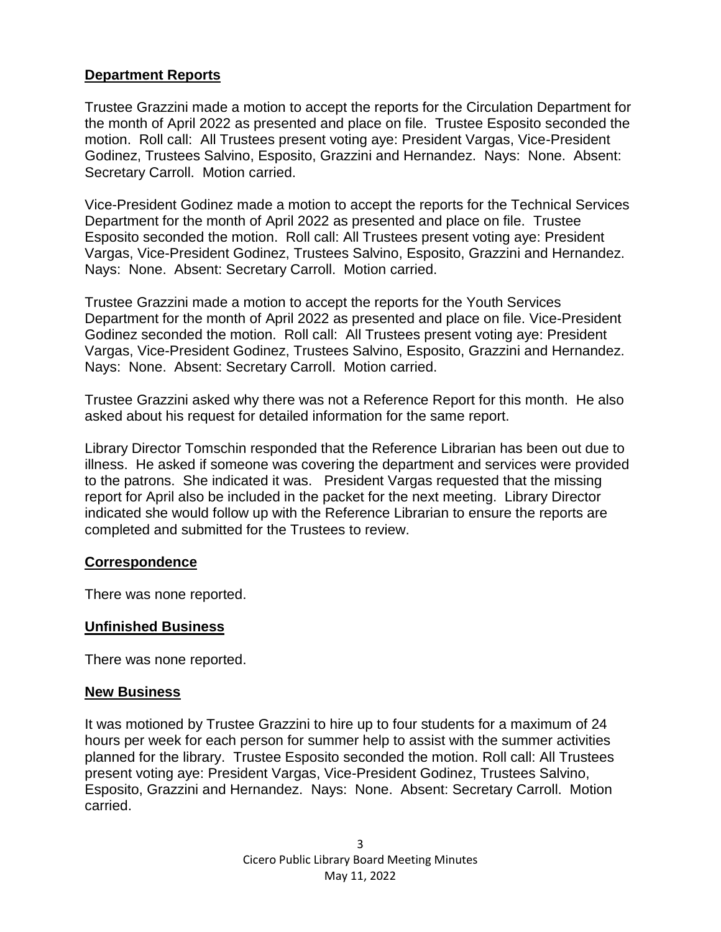## **Department Reports**

Trustee Grazzini made a motion to accept the reports for the Circulation Department for the month of April 2022 as presented and place on file. Trustee Esposito seconded the motion. Roll call: All Trustees present voting aye: President Vargas, Vice-President Godinez, Trustees Salvino, Esposito, Grazzini and Hernandez. Nays: None. Absent: Secretary Carroll. Motion carried.

Vice-President Godinez made a motion to accept the reports for the Technical Services Department for the month of April 2022 as presented and place on file. Trustee Esposito seconded the motion. Roll call: All Trustees present voting aye: President Vargas, Vice-President Godinez, Trustees Salvino, Esposito, Grazzini and Hernandez. Nays: None. Absent: Secretary Carroll. Motion carried.

Trustee Grazzini made a motion to accept the reports for the Youth Services Department for the month of April 2022 as presented and place on file. Vice-President Godinez seconded the motion. Roll call: All Trustees present voting aye: President Vargas, Vice-President Godinez, Trustees Salvino, Esposito, Grazzini and Hernandez. Nays: None. Absent: Secretary Carroll. Motion carried.

Trustee Grazzini asked why there was not a Reference Report for this month. He also asked about his request for detailed information for the same report.

Library Director Tomschin responded that the Reference Librarian has been out due to illness. He asked if someone was covering the department and services were provided to the patrons. She indicated it was. President Vargas requested that the missing report for April also be included in the packet for the next meeting. Library Director indicated she would follow up with the Reference Librarian to ensure the reports are completed and submitted for the Trustees to review.

## **Correspondence**

There was none reported.

## **Unfinished Business**

There was none reported.

#### **New Business**

It was motioned by Trustee Grazzini to hire up to four students for a maximum of 24 hours per week for each person for summer help to assist with the summer activities planned for the library. Trustee Esposito seconded the motion. Roll call: All Trustees present voting aye: President Vargas, Vice-President Godinez, Trustees Salvino, Esposito, Grazzini and Hernandez. Nays: None. Absent: Secretary Carroll. Motion carried.